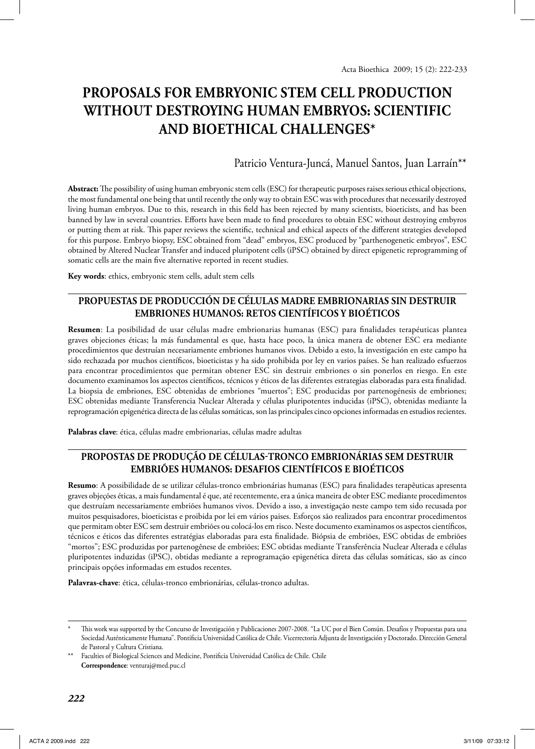# **PROPOSALS FOR EMBRYONIC STEM CELL PRODUCTION WITHOUT DESTROYING HUMAN EMBRYOS: SCIENTIFIC AND BIOETHICAL CHALLENGES\***

Patricio Ventura-Juncá, Manuel Santos, Juan Larraín\*\*

**Abstract:** The possibility of using human embryonic stem cells (ESC) for therapeutic purposes raises serious ethical objections, the most fundamental one being that until recently the only way to obtain ESC was with procedures that necessarily destroyed living human embryos. Due to this, research in this field has been rejected by many scientists, bioeticists, and has been banned by law in several countries. Efforts have been made to find procedures to obtain ESC without destroying embyros or putting them at risk. This paper reviews the scientific, technical and ethical aspects of the different strategies developed for this purpose. Embryo biopsy, ESC obtained from "dead" embryos, ESC produced by "parthenogenetic embryos", ESC obtained by Altered Nuclear Transfer and induced pluripotent cells (iPSC) obtained by direct epigenetic reprogramming of somatic cells are the main five alternative reported in recent studies.

**Key words**: ethics, embryonic stem cells, adult stem cells

#### **PROPUESTAS DE PRODUCCIÓN DE CÉLULAS MADRE EMBRIONARIAS SIN DESTRUIR EMBRIONES HUMANOS: RETOS CIENTÍFICOS Y BIOÉTICOS**

**Resumen**: La posibilidad de usar células madre embrionarias humanas (ESC) para finalidades terapéuticas plantea graves objeciones éticas; la más fundamental es que, hasta hace poco, la única manera de obtener ESC era mediante procedimientos que destruían necesariamente embriones humanos vivos. Debido a esto, la investigación en este campo ha sido rechazada por muchos científicos, bioeticistas y ha sido prohibida por ley en varios países. Se han realizado esfuerzos para encontrar procedimientos que permitan obtener ESC sin destruir embriones o sin ponerlos en riesgo. En este documento examinamos los aspectos científicos, técnicos y éticos de las diferentes estrategias elaboradas para esta finalidad. La biopsia de embriones, ESC obtenidas de embriones "muertos"; ESC producidas por partenogénesis de embriones; ESC obtenidas mediante Transferencia Nuclear Alterada y células pluripotentes inducidas (iPSC), obtenidas mediante la reprogramación epigenética directa de las células somáticas, son las principales cinco opciones informadas en estudios recientes.

**Palabras clave**: ética, células madre embrionarias, células madre adultas

#### **PROPOSTAS DE PRODUÇÃO DE CÉLULAS-TRONCO EMBRIONÁRIAS SEM DESTRUIR EMBRIÕES HUMANOS: DESAFIOS CIENTÍFICOS E BIOÉTICOS**

**Resumo**: A possibilidade de se utilizar células-tronco embrionárias humanas (ESC) para finalidades terapêuticas apresenta graves objeções éticas, a mais fundamental é que, até recentemente, era a única maneira de obter ESC mediante procedimentos que destruíam necessariamente embriões humanos vivos. Devido a isso, a investigação neste campo tem sido recusada por muitos pesquisadores, bioeticistas e proibida por lei em vários paises. Esforços são realizados para encontrar procedimentos que permitam obter ESC sem destruir embriões ou colocá-los em risco. Neste documento examinamos os aspectos científicos, técnicos e éticos das diferentes estratégias elaboradas para esta finalidade. Biópsia de embriões, ESC obtidas de embriões "mortos"; ESC produzidas por partenogênese de embriões; ESC obtidas mediante Transferência Nuclear Alterada e células pluripotentes induzidas (iPSC), obtidas mediante a reprogramação epigenética direta das células somáticas, são as cinco principais opções informadas em estudos recentes.

**Palavras-chave**: ética, células-tronco embrionárias, células-tronco adultas.

<sup>\*</sup> This work was supported by the Concurso de Investigación y Publicaciones 2007-2008. "La UC por el Bien Común. Desafíos y Propuestas para una Sociedad Auténticamente Humana". Pontificia Universidad Católica de Chile. Vicerrectoría Adjunta de Investigación y Doctorado. Dirección General de Pastoral y Cultura Cristiana.

<sup>\*\*</sup> Faculties of Biological Sciences and Medicine, Pontificia Universidad Católica de Chile. Chile **Correspondence**: venturaj@med.puc.cl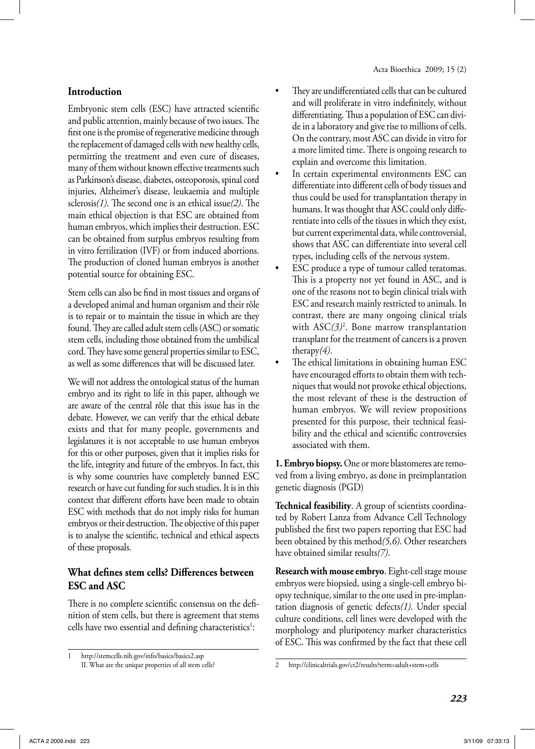## **Introduction**

Embryonic stem cells (ESC) have attracted scientific and public attention, mainly because of two issues. The first one is the promise of regenerative medicine through the replacement of damaged cells with new healthy cells, permitting the treatment and even cure of diseases, many of them without known effective treatments such as Parkinson's disease, diabetes, osteoporosis, spinal cord injuries, Alzheimer's disease, leukaemia and multiple sclerosis*(1)*. The second one is an ethical issue*(2)*. The main ethical objection is that ESC are obtained from human embryos, which implies their destruction. ESC can be obtained from surplus embryos resulting from in vitro fertilization (IVF) or from induced abortions. The production of cloned human embryos is another potential source for obtaining ESC.

Stem cells can also be find in most tissues and organs of a developed animal and human organism and their rôle is to repair or to maintain the tissue in which are they found. They are called adult stem cells (ASC) or somatic stem cells, including those obtained from the umbilical cord. They have some general properties similar to ESC, as well as some differences that will be discussed later.

We will not address the ontological status of the human embryo and its right to life in this paper, although we are aware of the central rôle that this issue has in the debate. However, we can verify that the ethical debate exists and that for many people, governments and legislatures it is not acceptable to use human embryos for this or other purposes, given that it implies risks for the life, integrity and future of the embryos. In fact, this is why some countries have completely banned ESC research or have cut funding for such studies. It is in this context that different efforts have been made to obtain ESC with methods that do not imply risks for human embryos or their destruction. The objective of this paper is to analyse the scientific, technical and ethical aspects of these proposals.

# **What defines stem cells? Differences between ESC and ASC**

There is no complete scientific consensus on the definition of stem cells, but there is agreement that stems cells have two essential and defining characteristics $\cdot$ :

- They are undifferentiated cells that can be cultured and will proliferate in vitro indefinitely, without differentiating. Thus a population of ESC can divide in a laboratory and give rise to millions of cells. On the contrary, most ASC can divide in vitro for a more limited time. There is ongoing research to explain and overcome this limitation.
- In certain experimental environments ESC can differentiate into different cells of body tissues and thus could be used for transplantation therapy in humans. It was thought that ASC could only differentiate into cells of the tissues in which they exist, but current experimental data, while controversial, shows that ASC can differentiate into several cell types, including cells of the nervous system.
- ESC produce a type of tumour called teratomas. This is a property not yet found in ASC, and is one of the reasons not to begin clinical trials with ESC and research mainly restricted to animals. In contrast, there are many ongoing clinical trials with ASC*(3)*<sup>2</sup> . Bone marrow transplantation transplant for the treatment of cancers is a proven therapy*(4)*.
- The ethical limitations in obtaining human ESC have encouraged efforts to obtain them with techniques that would not provoke ethical objections, the most relevant of these is the destruction of human embryos. We will review propositions presented for this purpose, their technical feasibility and the ethical and scientific controversies associated with them.

**1. Embryo biopsy.** One or more blastomeres are removed from a living embryo, as done in preimplantation genetic diagnosis (PGD)

**Technical feasibility**. A group of scientists coordinated by Robert Lanza from Advance Cell Technology published the first two papers reporting that ESC had been obtained by this method*(5,6)*. Other researchers have obtained similar results*(7)*.

**Research with mouse embryo**. Eight-cell stage mouse embryos were biopsied, using a single-cell embryo biopsy technique, similar to the one used in pre-implantation diagnosis of genetic defects*(1)*. Under special culture conditions, cell lines were developed with the morphology and pluripotency marker characteristics of ESC. This was confirmed by the fact that these cell

http://stemcells.nih.gov/info/basics/basics2.asp II. What are the unique properties of all stem cells?

<sup>2</sup> http://clinicaltrials.gov/ct2/results?term=adult+stem+cells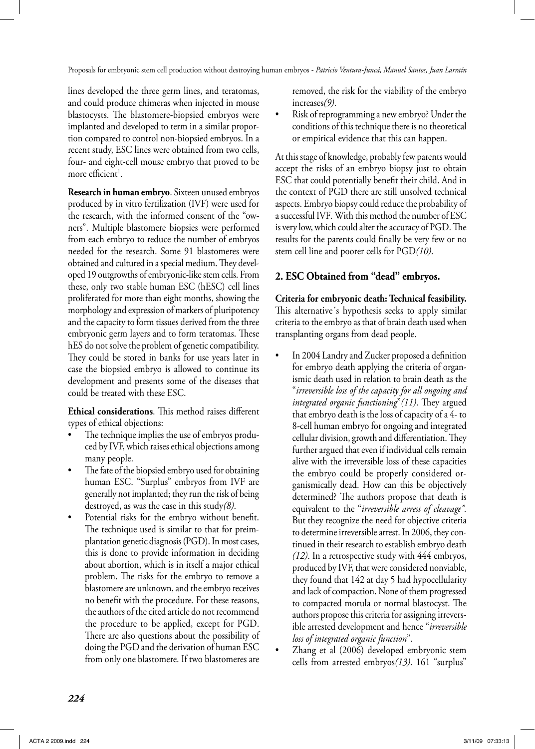lines developed the three germ lines, and teratomas, and could produce chimeras when injected in mouse blastocysts. The blastomere-biopsied embryos were implanted and developed to term in a similar proportion compared to control non-biopsied embryos. In a recent study, ESC lines were obtained from two cells, four- and eight-cell mouse embryo that proved to be more efficient<sup>1</sup>.

**Research in human embryo**. Sixteen unused embryos produced by in vitro fertilization (IVF) were used for the research, with the informed consent of the "owners". Multiple blastomere biopsies were performed from each embryo to reduce the number of embryos needed for the research. Some 91 blastomeres were obtained and cultured in a special medium. They developed 19 outgrowths of embryonic-like stem cells. From these, only two stable human ESC (hESC) cell lines proliferated for more than eight months, showing the morphology and expression of markers of pluripotency and the capacity to form tissues derived from the three embryonic germ layers and to form teratomas. These hES do not solve the problem of genetic compatibility. They could be stored in banks for use years later in case the biopsied embryo is allowed to continue its development and presents some of the diseases that could be treated with these ESC.

**Ethical considerations**. This method raises different types of ethical objections:

- The technique implies the use of embryos produced by IVF, which raises ethical objections among many people.
- The fate of the biopsied embryo used for obtaining human ESC. "Surplus" embryos from IVF are generally not implanted; they run the risk of being destroyed, as was the case in this study*(8)*.
- Potential risks for the embryo without benefit. The technique used is similar to that for preimplantation genetic diagnosis (PGD). In most cases, this is done to provide information in deciding about abortion, which is in itself a major ethical problem. The risks for the embryo to remove a blastomere are unknown, and the embryo receives no benefit with the procedure. For these reasons, the authors of the cited article do not recommend the procedure to be applied, except for PGD. There are also questions about the possibility of doing the PGD and the derivation of human ESC from only one blastomere. If two blastomeres are

removed, the risk for the viability of the embryo increases*(9)*.

Risk of reprogramming a new embryo? Under the conditions of this technique there is no theoretical or empirical evidence that this can happen.

At this stage of knowledge, probably few parents would accept the risks of an embryo biopsy just to obtain ESC that could potentially benefit their child. And in the context of PGD there are still unsolved technical aspects. Embryo biopsy could reduce the probability of a successful IVF*.* With this method the number of ESC is very low, which could alter the accuracy of PGD. The results for the parents could finally be very few or no stem cell line and poorer cells for PGD*(10)*.

#### **2. ESC Obtained from "dead" embryos.**

**Criteria for embryonic death: Technical feasibility.** This alternative´s hypothesis seeks to apply similar criteria to the embryo as that of brain death used when transplanting organs from dead people.

- In 2004 Landry and Zucker proposed a definition for embryo death applying the criteria of organismic death used in relation to brain death as the "*irreversible loss of the capacity for all ongoing and integrated organic functioning*"*(11)*. They argued that embryo death is the loss of capacity of a 4- to 8-cell human embryo for ongoing and integrated cellular division, growth and differentiation. They further argued that even if individual cells remain alive with the irreversible loss of these capacities the embryo could be properly considered organismically dead. How can this be objectively determined? The authors propose that death is equivalent to the "*irreversible arrest of cleavage".* But they recognize the need for objective criteria to determine irreversible arrest. In 2006, they continued in their research to establish embryo death *(12)*. In a retrospective study with 444 embryos, produced by IVF, that were considered nonviable, they found that 142 at day 5 had hypocellularity and lack of compaction. None of them progressed to compacted morula or normal blastocyst. The authors propose this criteria for assigning irreversible arrested development and hence "*irreversible loss of integrated organic function*".
- Zhang et al (2006) developed embryonic stem cells from arrested embryos*(13)*. 161 "surplus"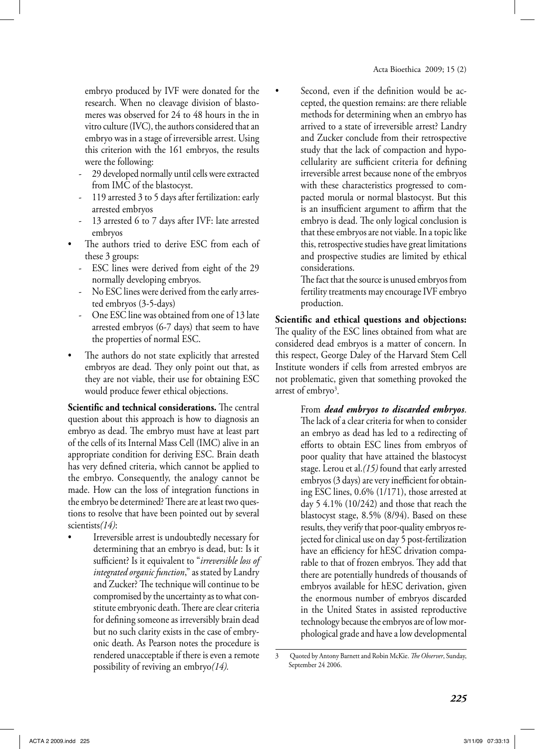embryo produced by IVF were donated for the research. When no cleavage division of blastomeres was observed for 24 to 48 hours in the in vitro culture (IVC), the authors considered that an embryo was in a stage of irreversible arrest. Using this criterion with the 161 embryos, the results were the following:

- 29 developed normally until cells were extracted from IMC of the blastocyst.
- 119 arrested 3 to 5 days after fertilization: early arrested embryos
- 13 arrested 6 to 7 days after IVF: late arrested embryos
- The authors tried to derive ESC from each of these 3 groups:
	- ESC lines were derived from eight of the 29 normally developing embryos.
	- No ESC lines were derived from the early arrested embryos (3-5-days)
	- One ESC line was obtained from one of 13 late arrested embryos (6-7 days) that seem to have the properties of normal ESC.
- The authors do not state explicitly that arrested embryos are dead. They only point out that, as they are not viable, their use for obtaining ESC would produce fewer ethical objections.

**Scientific and technical considerations.** The central question about this approach is how to diagnosis an embryo as dead. The embryo must have at least part of the cells of its Internal Mass Cell (IMC) alive in an appropriate condition for deriving ESC. Brain death has very defined criteria, which cannot be applied to the embryo. Consequently, the analogy cannot be made. How can the loss of integration functions in the embryo be determined? There are at least two questions to resolve that have been pointed out by several scientists*(14)*:

Irreversible arrest is undoubtedly necessary for determining that an embryo is dead, but: Is it sufficient? Is it equivalent to "*irreversible loss of integrated organic function*," as stated by Landry and Zucker? The technique will continue to be compromised by the uncertainty as to what constitute embryonic death. There are clear criteria for defining someone as irreversibly brain dead but no such clarity exists in the case of embryonic death. As Pearson notes the procedure is rendered unacceptable if there is even a remote possibility of reviving an embryo*(14).*

Second, even if the definition would be accepted, the question remains: are there reliable methods for determining when an embryo has arrived to a state of irreversible arrest? Landry and Zucker conclude from their retrospective study that the lack of compaction and hypocellularity are sufficient criteria for defining irreversible arrest because none of the embryos with these characteristics progressed to compacted morula or normal blastocyst. But this is an insufficient argument to affirm that the embryo is dead. The only logical conclusion is that these embryos are not viable. In a topic like this, retrospective studies have great limitations and prospective studies are limited by ethical considerations.

The fact that the source is unused embryos from fertility treatments may encourage IVF embryo production.

**Scientific and ethical questions and objections:** The quality of the ESC lines obtained from what are considered dead embryos is a matter of concern. In this respect, George Daley of the Harvard Stem Cell Institute wonders if cells from arrested embryos are not problematic, given that something provoked the arrest of embryo<sup>3</sup>.

> From *dead embryos to discarded embryos*. The lack of a clear criteria for when to consider an embryo as dead has led to a redirecting of efforts to obtain ESC lines from embryos of poor quality that have attained the blastocyst stage. Lerou et al.*(15)* found that early arrested embryos (3 days) are very inefficient for obtaining ESC lines, 0.6% (1/171), those arrested at day 5 4.1% (10/242) and those that reach the blastocyst stage, 8.5% (8/94). Based on these results, they verify that poor-quality embryos rejected for clinical use on day 5 post-fertilization have an efficiency for hESC drivation comparable to that of frozen embryos. They add that there are potentially hundreds of thousands of embryos available for hESC derivation, given the enormous number of embryos discarded in the United States in assisted reproductive technology because the embryos are of low morphological grade and have a low developmental

<sup>3</sup> Quoted by Antony Barnett and Robin McKie. *The Observer*, Sunday, September 24 2006.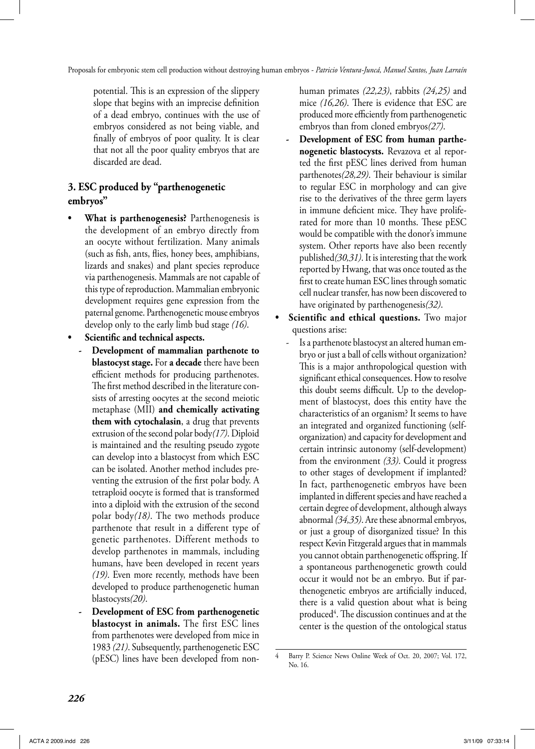potential. This is an expression of the slippery slope that begins with an imprecise definition of a dead embryo, continues with the use of embryos considered as not being viable, and finally of embryos of poor quality. It is clear that not all the poor quality embryos that are discarded are dead.

### **3. ESC produced by "parthenogenetic embryos"**

- **What is parthenogenesis?** Parthenogenesis is the development of an embryo directly from an oocyte without fertilization. Many animals (such as fish, ants, flies, honey bees, amphibians, lizards and snakes) and plant species reproduce via parthenogenesis. Mammals are not capable of this type of reproduction. Mammalian embryonic development requires gene expression from the paternal genome. Parthenogenetic mouse embryos develop only to the early limb bud stage *(16)*.
- **• Scientific and technical aspects.** 
	- **- Development of mammalian parthenote to blastocyst stage.** For **a decade** there have been efficient methods for producing parthenotes. The first method described in the literature consists of arresting oocytes at the second meiotic metaphase (MII) **and chemically activating them with cytochalasin**, a drug that prevents extrusion of the second polar body*(17)*. Diploid is maintained and the resulting pseudo zygote can develop into a blastocyst from which ESC can be isolated. Another method includes preventing the extrusion of the first polar body. A tetraploid oocyte is formed that is transformed into a diploid with the extrusion of the second polar body*(18)*. The two methods produce parthenote that result in a different type of genetic parthenotes. Different methods to develop parthenotes in mammals, including humans, have been developed in recent years *(19)*. Even more recently, methods have been developed to produce parthenogenetic human blastocysts*(20)*.
	- **- Development of ESC from parthenogenetic blastocyst in animals.** The first ESC lines from parthenotes were developed from mice in 1983 *(21)*. Subsequently, parthenogenetic ESC (pESC) lines have been developed from non-

human primates *(22,23)*, rabbits *(24,25)* and mice *(16,26)*. There is evidence that ESC are produced more efficiently from parthenogenetic embryos than from cloned embryos*(27)*.

- **- Development of ESC from human parthenogenetic blastocysts.** Revazova et al reported the first pESC lines derived from human parthenotes*(28,29)*. Their behaviour is similar to regular ESC in morphology and can give rise to the derivatives of the three germ layers in immune deficient mice. They have proliferated for more than 10 months. These pESC would be compatible with the donor's immune system. Other reports have also been recently published*(30,31)*. It is interesting that the work reported by Hwang, that was once touted as the first to create human ESC lines through somatic cell nuclear transfer, has now been discovered to have originated by parthenogenesis*(32)*.
- **Scientific and ethical questions.** Two major questions arise:
	- Is a parthenote blastocyst an altered human embryo or just a ball of cells without organization? This is a major anthropological question with significant ethical consequences. How to resolve this doubt seems difficult. Up to the development of blastocyst, does this entity have the characteristics of an organism? It seems to have an integrated and organized functioning (selforganization) and capacity for development and certain intrinsic autonomy (self-development) from the environment *(33)*. Could it progress to other stages of development if implanted? In fact, parthenogenetic embryos have been implanted in different species and have reached a certain degree of development, although always abnormal *(34,35)*. Are these abnormal embryos, or just a group of disorganized tissue? In this respect Kevin Fitzgerald argues that in mammals you cannot obtain parthenogenetic offspring. If a spontaneous parthenogenetic growth could occur it would not be an embryo. But if parthenogenetic embryos are artificially induced, there is a valid question about what is being produced<sup>4</sup>. The discussion continues and at the center is the question of the ontological status

Barry P. Science News Online Week of Oct. 20, 2007; Vol. 172, No. 16.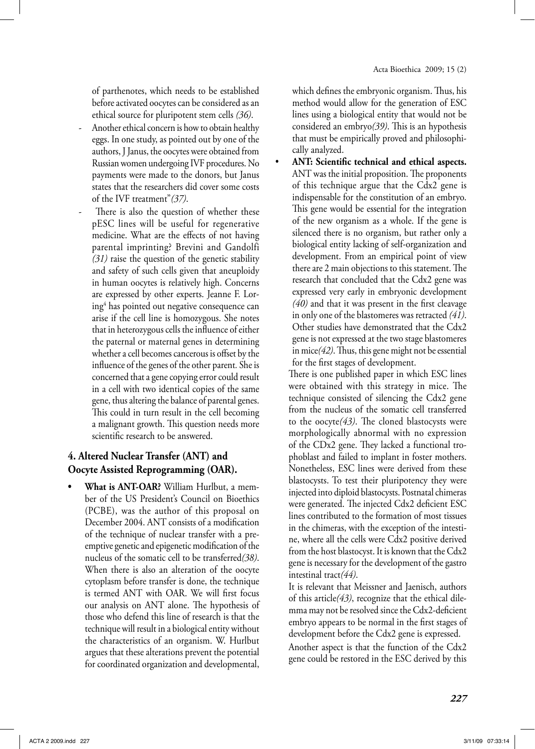of parthenotes, which needs to be established before activated oocytes can be considered as an ethical source for pluripotent stem cells *(36)*.

- Another ethical concern is how to obtain healthy eggs. In one study, as pointed out by one of the authors, J Janus, the oocytes were obtained from Russian women undergoing IVF procedures. No payments were made to the donors, but Janus states that the researchers did cover some costs of the IVF treatment"*(37)*.
- There is also the question of whether these pESC lines will be useful for regenerative medicine. What are the effects of not having parental imprinting? Brevini and Gandolfi *(31)* raise the question of the genetic stability and safety of such cells given that aneuploidy in human oocytes is relatively high. Concerns are expressed by other experts. Jeanne F. Loring4 has pointed out negative consequence can arise if the cell line is homozygous. She notes that in heterozygous cells the influence of either the paternal or maternal genes in determining whether a cell becomes cancerous is offset by the influence of the genes of the other parent*.* She is concerned that a gene copying error could result in a cell with two identical copies of the same gene, thus altering the balance of parental genes. This could in turn result in the cell becoming a malignant growth. This question needs more scientific research to be answered.

### **4. Altered Nuclear Transfer (ANT) and Oocyte Assisted Reprogramming (OAR).**

**What is ANT-OAR?** William Hurlbut, a member of the US President's Council on Bioethics (PCBE), was the author of this proposal on December 2004. ANT consists of a modification of the technique of nuclear transfer with a preemptive genetic and epigenetic modification of the nucleus of the somatic cell to be transferred*(38)*. When there is also an alteration of the oocyte cytoplasm before transfer is done, the technique is termed ANT with OAR. We will first focus our analysis on ANT alone. The hypothesis of those who defend this line of research is that the technique will result in a biological entity without the characteristics of an organism. W. Hurlbut argues that these alterations prevent the potential for coordinated organization and developmental,

which defines the embryonic organism. Thus, his method would allow for the generation of ESC lines using a biological entity that would not be considered an embryo*(39)*. This is an hypothesis that must be empirically proved and philosophically analyzed.

ANT: Scientific technical and ethical aspects. ANT was the initial proposition. The proponents of this technique argue that the Cdx2 gene is indispensable for the constitution of an embryo. This gene would be essential for the integration of the new organism as a whole. If the gene is silenced there is no organism, but rather only a biological entity lacking of self-organization and development. From an empirical point of view there are 2 main objections to this statement. The research that concluded that the Cdx2 gene was expressed very early in embryonic development *(40)* and that it was present in the first cleavage in only one of the blastomeres was retracted *(41)*. Other studies have demonstrated that the Cdx2 gene is not expressed at the two stage blastomeres in mice*(42)*. Thus, this gene might not be essential for the first stages of development.

There is one published paper in which ESC lines were obtained with this strategy in mice. The technique consisted of silencing the Cdx2 gene from the nucleus of the somatic cell transferred to the oocyte*(43)*. The cloned blastocysts were morphologically abnormal with no expression of the CDx2 gene. They lacked a functional trophoblast and failed to implant in foster mothers. Nonetheless, ESC lines were derived from these blastocysts. To test their pluripotency they were injected into diploid blastocysts. Postnatal chimeras were generated. The injected Cdx2 deficient ESC lines contributed to the formation of most tissues in the chimeras, with the exception of the intestine, where all the cells were Cdx2 positive derived from the host blastocyst. It is known that the Cdx2 gene is necessary for the development of the gastro intestinal tract*(44)*.

It is relevant that Meissner and Jaenisch, authors of this article*(43)*, recognize that the ethical dilemma may not be resolved since the Cdx2-deficient embryo appears to be normal in the first stages of development before the Cdx2 gene is expressed. Another aspect is that the function of the Cdx2 gene could be restored in the ESC derived by this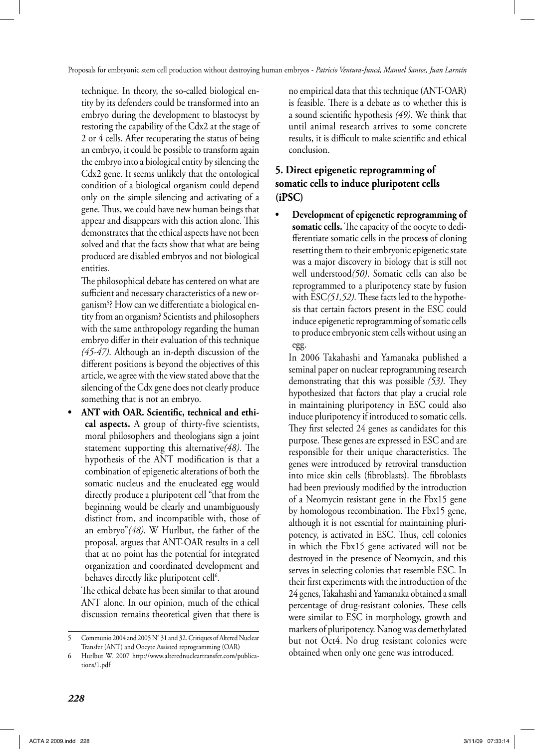technique. In theory, the so-called biological entity by its defenders could be transformed into an embryo during the development to blastocyst by restoring the capability of the Cdx2 at the stage of 2 or 4 cells. After recuperating the status of being an embryo, it could be possible to transform again the embryo into a biological entity by silencing the Cdx2 gene. It seems unlikely that the ontological condition of a biological organism could depend only on the simple silencing and activating of a gene. Thus, we could have new human beings that appear and disappears with this action alone. This demonstrates that the ethical aspects have not been solved and that the facts show that what are being produced are disabled embryos and not biological entities.

The philosophical debate has centered on what are sufficient and necessary characteristics of a new organism5 ? How can we differentiate a biological entity from an organism? Scientists and philosophers with the same anthropology regarding the human embryo differ in their evaluation of this technique *(45-47)*. Although an in-depth discussion of the different positions is beyond the objectives of this article, we agree with the view stated above that the silencing of the Cdx gene does not clearly produce something that is not an embryo.

ANT with OAR. Scientific, technical and ethi**cal aspects.** A group of thirty-five scientists, moral philosophers and theologians sign a joint statement supporting this alternative*(48)*. The hypothesis of the ANT modification is that a combination of epigenetic alterations of both the somatic nucleus and the enucleated egg would directly produce a pluripotent cell "that from the beginning would be clearly and unambiguously distinct from, and incompatible with, those of an embryo"*(48)*. W Hurlbut, the father of the proposal, argues that ANT-OAR results in a cell that at no point has the potential for integrated organization and coordinated development and behaves directly like pluripotent cell<sup>6</sup>.

The ethical debate has been similar to that around ANT alone. In our opinion, much of the ethical discussion remains theoretical given that there is no empirical data that this technique (ANT-OAR) is feasible. There is a debate as to whether this is a sound scientific hypothesis *(49)*. We think that until animal research arrives to some concrete results, it is difficult to make scientific and ethical conclusion.

# **5. Direct epigenetic reprogramming of somatic cells to induce pluripotent cells (iPSC)**

**• Development of epigenetic reprogramming of somatic cells.** The capacity of the oocyte to dedifferentiate somatic cells in the proces**s** of cloning resetting them to their embryonic epigenetic state was a major discovery in biology that is still not well understood*(50)*. Somatic cells can also be reprogrammed to a pluripotency state by fusion with ESC*(51,52)*. These facts led to the hypothesis that certain factors present in the ESC could induce epigenetic reprogramming of somatic cells to produce embryonic stem cells without using an egg.

In 2006 Takahashi and Yamanaka published a seminal paper on nuclear reprogramming research demonstrating that this was possible *(53)*. They hypothesized that factors that play a crucial role in maintaining pluripotency in ESC could also induce pluripotency if introduced to somatic cells. They first selected 24 genes as candidates for this purpose. These genes are expressed in ESC and are responsible for their unique characteristics. The genes were introduced by retroviral transduction into mice skin cells (fibroblasts). The fibroblasts had been previously modified by the introduction of a Neomycin resistant gene in the Fbx15 gene by homologous recombination. The Fbx15 gene, although it is not essential for maintaining pluripotency, is activated in ESC. Thus, cell colonies in which the Fbx15 gene activated will not be destroyed in the presence of Neomycin, and this serves in selecting colonies that resemble ESC. In their first experiments with the introduction of the 24 genes, Takahashi and Yamanaka obtained a small percentage of drug-resistant colonies. These cells were similar to ESC in morphology, growth and markers of pluripotency. Nanog was demethylated but not Oct4. No drug resistant colonies were obtained when only one gene was introduced.

<sup>5</sup> Communio 2004 and 2005 N° 31 and 32. Critiques of Altered Nuclear Transfer (ANT) and Oocyte Assisted reprogramming (OAR)

Hurlbut W. 2007 http://www.alterednucleartransfer.com/publications/1.pdf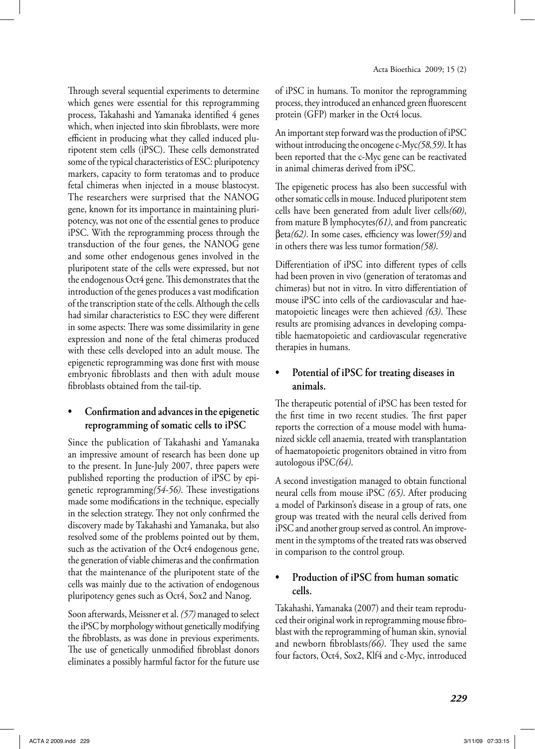Through several sequential experiments to determine which genes were essential for this reprogramming process, Takahashi and Yamanaka identified 4 genes which, when injected into skin fibroblasts, were more efficient in producing what they called induced pluripotent stem cells (iPSC). These cells demonstrated some of the typical characteristics of ESC: pluripotency markers, capacity to form teratomas and to produce fetal chimeras when injected in a mouse blastocyst. The researchers were surprised that the NANOG gene, known for its importance in maintaining pluripotency, was not one of the essential genes to produce iPSC. With the reprogramming process through the transduction of the four genes, the NANOG gene and some other endogenous genes involved in the pluripotent state of the cells were expressed, but not the endogenous Oct4 gene. This demonstrates that the introduction of the genes produces a vast modification of the transcription state of the cells. Although the cells had similar characteristics to ESC they were different in some aspects: There was some dissimilarity in gene expression and none of the fetal chimeras produced with these cells developed into an adult mouse. The epigenetic reprogramming was done first with mouse embryonic fibroblasts and then with adult mouse fibroblasts obtained from the tail-tip.

### **• Confirmation and advances in the epigenetic reprogramming of somatic cells to iPSC**

Since the publication of Takahashi and Yamanaka an impressive amount of research has been done up to the present. In June-July 2007, three papers were published reporting the production of iPSC by epigenetic reprogramming*(54-56)*. These investigations made some modifications in the technique, especially in the selection strategy. They not only confirmed the discovery made by Takahashi and Yamanaka, but also resolved some of the problems pointed out by them, such as the activation of the Oct4 endogenous gene, the generation of viable chimeras and the confirmation that the maintenance of the pluripotent state of the cells was mainly due to the activation of endogenous pluripotency genes such as Oct4, Sox2 and Nanog.

Soon afterwards, Meissner et al. *(57)* managed to select the iPSC by morphology without genetically modifying the fibroblasts, as was done in previous experiments. The use of genetically unmodified fibroblast donors eliminates a possibly harmful factor for the future use of iPSC in humans. To monitor the reprogramming process, they introduced an enhanced green fluorescent protein (GFP) marker in the Oct4 locus.

An important step forward was the production of iPSC without introducing the oncogene c-Myc*(58,59)*. It has been reported that the c-Myc gene can be reactivated in animal chimeras derived from iPSC.

The epigenetic process has also been successful with other somatic cells in mouse. Induced pluripotent stem cells have been generated from adult liver cells*(60)*, from mature B lymphocytes*(61)*, and from pancreatic βeta*(62)*. In some cases, efficiency was lower*(59)* and in others there was less tumor formation*(58)*.

Differentiation of iPSC into different types of cells had been proven in vivo (generation of teratomas and chimeras) but not in vitro. In vitro differentiation of mouse iPSC into cells of the cardiovascular and haematopoietic lineages were then achieved *(63)*. These results are promising advances in developing compatible haematopoietic and cardiovascular regenerative therapies in humans.

### **Potential of iPSC for treating diseases in animals.**

The therapeutic potential of iPSC has been tested for the first time in two recent studies. The first paper reports the correction of a mouse model with humanized sickle cell anaemia, treated with transplantation of haematopoietic progenitors obtained in vitro from autologous iPSC*(64)*.

A second investigation managed to obtain functional neural cells from mouse iPSC *(65)*. After producing a model of Parkinson's disease in a group of rats, one group was treated with the neural cells derived from iPSC and another group served as control. An improvement in the symptoms of the treated rats was observed in comparison to the control group.

### **Production of iPSC from human somatic cells.**

Takahashi, Yamanaka (2007) and their team reproduced their original work in reprogramming mouse fibroblast with the reprogramming of human skin, synovial and newborn fibroblasts*(66)*. They used the same four factors, Oct4, Sox2, Klf4 and c-Myc, introduced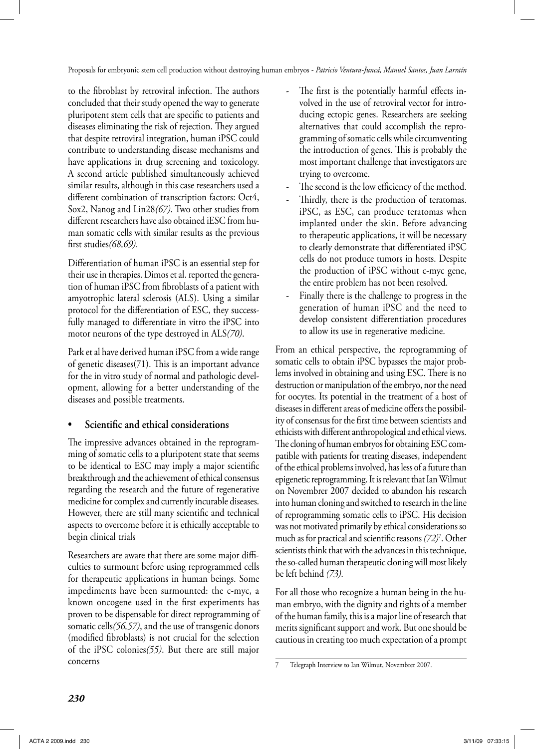to the fibroblast by retroviral infection. The authors concluded that their study opened the way to generate pluripotent stem cells that are specific to patients and diseases eliminating the risk of rejection. They argued that despite retroviral integration, human iPSC could contribute to understanding disease mechanisms and have applications in drug screening and toxicology. A second article published simultaneously achieved similar results, although in this case researchers used a different combination of transcription factors: Oct4, Sox2, Nanog and Lin28*(67)*. Two other studies from different researchers have also obtained iESC from human somatic cells with similar results as the previous first studies*(68,69)*.

Differentiation of human iPSC is an essential step for their use in therapies. Dimos et al. reported the generation of human iPSC from fibroblasts of a patient with amyotrophic lateral sclerosis (ALS). Using a similar protocol for the differentiation of ESC, they successfully managed to differentiate in vitro the iPSC into motor neurons of the type destroyed in ALS*(70)*.

Park et al have derived human iPSC from a wide range of genetic diseases(71). This is an important advance for the in vitro study of normal and pathologic development, allowing for a better understanding of the diseases and possible treatments.

#### **• Scientific and ethical considerations**

The impressive advances obtained in the reprogramming of somatic cells to a pluripotent state that seems to be identical to ESC may imply a major scientific breakthrough and the achievement of ethical consensus regarding the research and the future of regenerative medicine for complex and currently incurable diseases. However, there are still many scientific and technical aspects to overcome before it is ethically acceptable to begin clinical trials

Researchers are aware that there are some major difficulties to surmount before using reprogrammed cells for therapeutic applications in human beings. Some impediments have been surmounted: the c-myc, a known oncogene used in the first experiments has proven to be dispensable for direct reprogramming of somatic cells*(56,57)*, and the use of transgenic donors (modified fibroblasts) is not crucial for the selection of the iPSC colonies*(55)*. But there are still major concerns

- The first is the potentially harmful effects involved in the use of retroviral vector for introducing ectopic genes. Researchers are seeking alternatives that could accomplish the reprogramming of somatic cells while circumventing the introduction of genes. This is probably the most important challenge that investigators are trying to overcome.
- The second is the low efficiency of the method.
- Thirdly, there is the production of teratomas. iPSC, as ESC, can produce teratomas when implanted under the skin. Before advancing to therapeutic applications, it will be necessary to clearly demonstrate that differentiated iPSC cells do not produce tumors in hosts. Despite the production of iPSC without c-myc gene, the entire problem has not been resolved.
- Finally there is the challenge to progress in the generation of human iPSC and the need to develop consistent differentiation procedures to allow its use in regenerative medicine.

From an ethical perspective, the reprogramming of somatic cells to obtain iPSC bypasses the major problems involved in obtaining and using ESC. There is no destruction or manipulation of the embryo, nor the need for oocytes. Its potential in the treatment of a host of diseases in different areas of medicine offers the possibility of consensus for the first time between scientists and ethicists with different anthropological and ethical views. The cloning of human embryos for obtaining ESC compatible with patients for treating diseases, independent of the ethical problems involved, has less of a future than epigenetic reprogramming. It is relevant that Ian Wilmut on Novembrer 2007 decided to abandon his research into human cloning and switched to research in the line of reprogramming somatic cells to iPSC. His decision was not motivated primarily by ethical considerations so much as for practical and scientific reasons *(72)*<sup>7</sup> . Other scientists think that with the advances in this technique, the so-called human therapeutic cloning will most likely be left behind *(73)*.

For all those who recognize a human being in the human embryo, with the dignity and rights of a member of the human family, this is a major line of research that merits significant support and work. But one should be cautious in creating too much expectation of a prompt

<sup>7</sup> Telegraph Interview to Ian Wilmut, Novembrer 2007.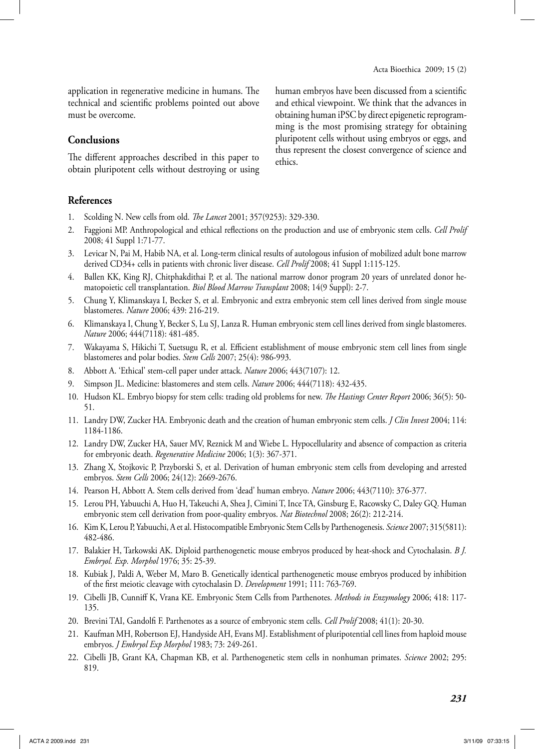application in regenerative medicine in humans. The technical and scientific problems pointed out above must be overcome.

#### **Conclusions**

The different approaches described in this paper to obtain pluripotent cells without destroying or using human embryos have been discussed from a scientific and ethical viewpoint. We think that the advances in obtaining human iPSC by direct epigenetic reprogramming is the most promising strategy for obtaining pluripotent cells without using embryos or eggs, and thus represent the closest convergence of science and ethics.

#### **References**

- 1. Scolding N. New cells from old. *The Lancet* 2001; 357(9253): 329-330.
- 2. Faggioni MP. Anthropological and ethical reflections on the production and use of embryonic stem cells. *Cell Prolif* 2008; 41 Suppl 1:71-77.
- 3. Levicar N, Pai M, Habib NA, et al. Long-term clinical results of autologous infusion of mobilized adult bone marrow derived CD34+ cells in patients with chronic liver disease. *Cell Prolif* 2008; 41 Suppl 1:115-125.
- 4. Ballen KK, King RJ, Chitphakdithai P, et al. The national marrow donor program 20 years of unrelated donor hematopoietic cell transplantation. *Biol Blood Marrow Transplant* 2008; 14(9 Suppl): 2-7.
- 5. Chung Y, Klimanskaya I, Becker S, et al. Embryonic and extra embryonic stem cell lines derived from single mouse blastomeres. *Nature* 2006; 439: 216-219.
- 6. Klimanskaya I, Chung Y, Becker S, Lu SJ, Lanza R. Human embryonic stem cell lines derived from single blastomeres. *Nature* 2006; 444(7118): 481-485.
- 7. Wakayama S, Hikichi T, Suetsugu R, et al. Efficient establishment of mouse embryonic stem cell lines from single blastomeres and polar bodies. *Stem Cells* 2007; 25(4): 986-993.
- 8. Abbott A. 'Ethical' stem-cell paper under attack. *Nature* 2006; 443(7107): 12.
- 9. Simpson JL. Medicine: blastomeres and stem cells. *Nature* 2006; 444(7118): 432-435.
- 10. Hudson KL. Embryo biopsy for stem cells: trading old problems for new. *The Hastings Center Report* 2006; 36(5): 50- 51.
- 11. Landry DW, Zucker HA. Embryonic death and the creation of human embryonic stem cells. *J Clin Invest* 2004; 114: 1184-1186.
- 12. Landry DW, Zucker HA, Sauer MV, Reznick M and Wiebe L. Hypocellularity and absence of compaction as criteria for embryonic death. *Regenerative Medicine* 2006; 1(3): 367-371.
- 13. Zhang X, Stojkovic P, Przyborski S, et al. Derivation of human embryonic stem cells from developing and arrested embryos. *Stem Cells* 2006; 24(12): 2669-2676.
- 14. Pearson H, Abbott A. Stem cells derived from 'dead' human embryo. *Nature* 2006; 443(7110): 376-377.
- 15. Lerou PH, Yabuuchi A, Huo H, Takeuchi A, Shea J, Cimini T, Ince TA, Ginsburg E, Racowsky C, Daley GQ. Human embryonic stem cell derivation from poor-quality embryos. *Nat Biotechnol* 2008; 26(2): 212-214.
- 16. Kim K, Lerou P, Yabuuchi, A et al. Histocompatible Embryonic Stem Cells by Parthenogenesis. *Science* 2007; 315(5811): 482-486.
- 17. Balakier H, Tarkowski AK. Diploid parthenogenetic mouse embryos produced by heat-shock and Cytochalasin. *B J. Embryol. Exp. Morphol* 1976; 35: 25-39.
- 18. Kubiak J, Paldi A, Weber M, Maro B. Genetically identical parthenogenetic mouse embryos produced by inhibition of the first meiotic cleavage with cytochalasin D. *Development* 1991; 111: 763-769.
- 19. Cibelli JB, Cunniff K, Vrana KE. Embryonic Stem Cells from Parthenotes. *Methods in Enzymology* 2006; 418: 117- 135.
- 20. Brevini TAI, Gandolfi F. Parthenotes as a source of embryonic stem cells. *Cell Prolif* 2008; 41(1): 20-30.
- 21. Kaufman MH, Robertson EJ, Handyside AH, Evans MJ. Establishment of pluripotential cell lines from haploid mouse embryos. *J Embryol Exp Morphol* 1983; 73: 249-261.
- 22. Cibelli JB, Grant KA, Chapman KB, et al. Parthenogenetic stem cells in nonhuman primates. *Science* 2002; 295: 819.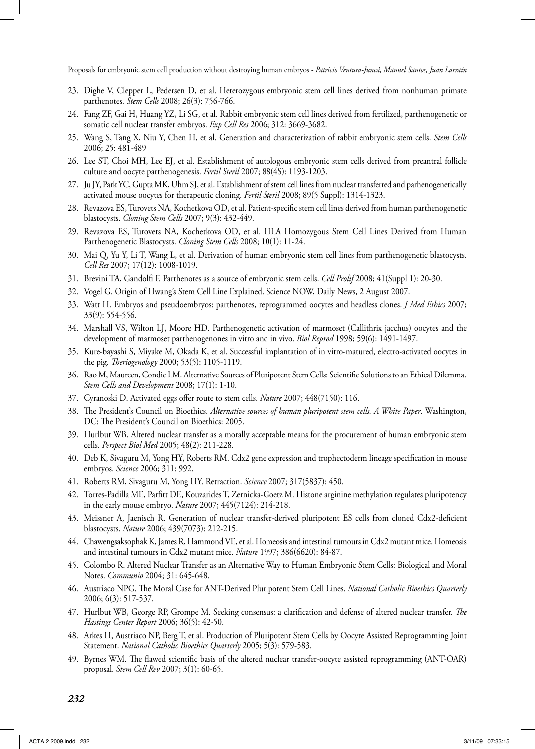- 23. Dighe V, Clepper L, Pedersen D, et al. Heterozygous embryonic stem cell lines derived from nonhuman primate parthenotes. *Stem Cells* 2008; 26(3): 756-766.
- 24. Fang ZF, Gai H, Huang YZ, Li SG, et al. Rabbit embryonic stem cell lines derived from fertilized, parthenogenetic or somatic cell nuclear transfer embryos. *Exp Cell Res* 2006; 312: 3669-3682.
- 25. Wang S, Tang X, Niu Y, Chen H, et al. Generation and characterization of rabbit embryonic stem cells. *Stem Cells* 2006; 25: 481-489
- 26. Lee ST, Choi MH, Lee EJ, et al. Establishment of autologous embryonic stem cells derived from preantral follicle culture and oocyte parthenogenesis. *Fertil Steril* 2007; 88(4S): 1193-1203.
- 27. Ju JY, Park YC, Gupta MK, Uhm SJ, et al. Establishment of stem cell lines from nuclear transferred and parhenogenetically activated mouse oocytes for therapeutic cloning. *Fertil Steril* 2008; 89(5 Suppl): 1314-1323.
- 28. Revazova ES, Turovets NA, Kochetkova OD, et al. Patient-specific stem cell lines derived from human parthenogenetic blastocysts. *Cloning Stem Cells* 2007; 9(3): 432-449.
- 29. Revazova ES, Turovets NA, Kochetkova OD, et al. HLA Homozygous Stem Cell Lines Derived from Human Parthenogenetic Blastocysts. *Cloning Stem Cells* 2008; 10(1): 11-24.
- 30. Mai Q, Yu Y, Li T, Wang L, et al. Derivation of human embryonic stem cell lines from parthenogenetic blastocysts. *Cell Res* 2007; 17(12): 1008-1019.
- 31. Brevini TA, Gandolfi F. Parthenotes as a source of embryonic stem cells. *Cell Prolif* 2008; 41(Suppl 1): 20-30.
- 32. Vogel G. Origin of Hwang's Stem Cell Line Explained. Science NOW, Daily News, 2 August 2007.
- 33. Watt H. Embryos and pseudoembryos: parthenotes, reprogrammed oocytes and headless clones. *J Med Ethics* 2007; 33(9): 554-556.
- 34. Marshall VS, Wilton LJ, Moore HD. Parthenogenetic activation of marmoset (Callithrix jacchus) oocytes and the development of marmoset parthenogenones in vitro and in vivo. *Biol Reprod* 1998; 59(6): 1491-1497.
- 35. Kure-bayashi S, Miyake M, Okada K, et al. Successful implantation of in vitro-matured, electro-activated oocytes in the pig. *Theriogenology* 2000; 53(5): 1105-1119.
- 36. Rao M, Maureen, Condic LM. Alternative Sources of Pluripotent Stem Cells: Scientific Solutions to an Ethical Dilemma. *Stem Cells and Development* 2008; 17(1): 1-10.
- 37. Cyranoski D. Activated eggs offer route to stem cells. *Nature* 2007; 448(7150): 116.
- 38. The President's Council on Bioethics. *Alternative sources of human pluripotent stem cells. A White Paper*. Washington, DC: The President's Council on Bioethics: 2005.
- 39. Hurlbut WB. Altered nuclear transfer as a morally acceptable means for the procurement of human embryonic stem cells. *Perspect Biol Med* 2005; 48(2): 211-228.
- 40. Deb K, Sivaguru M, Yong HY, Roberts RM. Cdx2 gene expression and trophectoderm lineage specification in mouse embryos. *Science* 2006; 311: 992.
- 41. Roberts RM, Sivaguru M, Yong HY. Retraction. *Science* 2007; 317(5837): 450.
- 42. Torres-Padilla ME, Parfitt DE, Kouzarides T, Zernicka-Goetz M. Histone arginine methylation regulates pluripotency in the early mouse embryo. *Nature* 2007; 445(7124): 214-218.
- 43. Meissner A, Jaenisch R. Generation of nuclear transfer-derived pluripotent ES cells from cloned Cdx2-deficient blastocysts. *Nature* 2006; 439(7073): 212-215.
- 44. Chawengsaksophak K, James R, Hammond VE, et al. Homeosis and intestinal tumours in Cdx2 mutant mice. Homeosis and intestinal tumours in Cdx2 mutant mice. *Nature* 1997; 386(6620): 84-87.
- 45. Colombo R. Altered Nuclear Transfer as an Alternative Way to Human Embryonic Stem Cells: Biological and Moral Notes. *Communio* 2004; 31: 645-648.
- 46. Austriaco NPG. The Moral Case for ANT-Derived Pluripotent Stem Cell Lines. *National Catholic Bioethics Quarterly* 2006; 6(3): 517-537.
- 47. Hurlbut WB, George RP, Grompe M. Seeking consensus: a clarification and defense of altered nuclear transfer. *The Hastings Center Report* 2006; 36(5): 42-50.
- 48. Arkes H, Austriaco NP, Berg T, et al. Production of Pluripotent Stem Cells by Oocyte Assisted Reprogramming Joint Statement. *National Catholic Bioethics Quarterly* 2005; 5(3): 579-583.
- 49. Byrnes WM. The flawed scientific basis of the altered nuclear transfer-oocyte assisted reprogramming (ANT-OAR) proposal. *Stem Cell Rev* 2007; 3(1): 60-65.

*232*